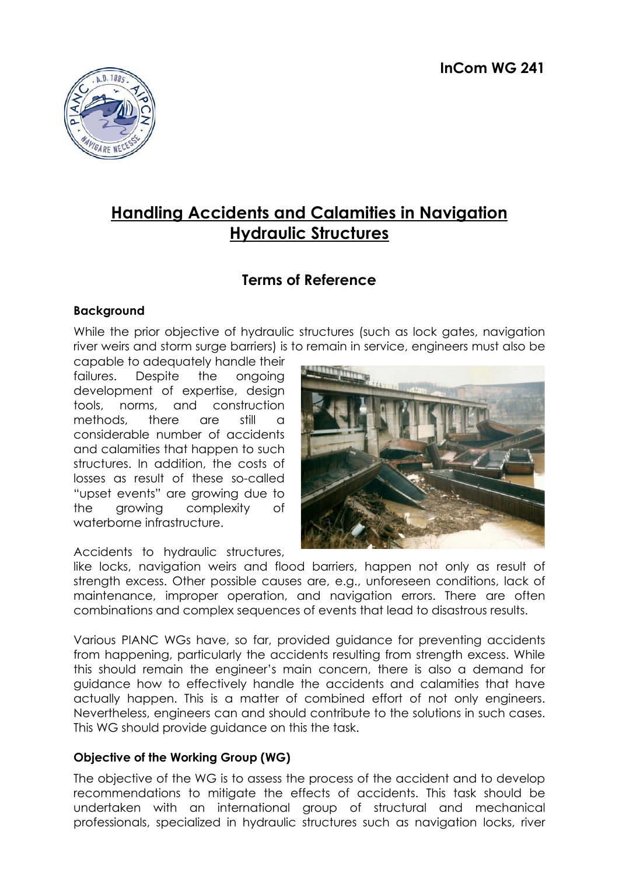

# **Handling Accidents and Calamities in Navigation Hydraulic Structures**

# **Terms of Reference**

## **Background**

While the prior objective of hydraulic structures (such as lock gates, navigation river weirs and storm surge barriers) is to remain in service, engineers must also be

capable to adequately handle their failures. Despite the ongoing development of expertise, design tools, norms, and construction methods, there are still a considerable number of accidents and calamities that happen to such structures. In addition, the costs of losses as result of these so-called "upset events" are growing due to the growing complexity of waterborne infrastructure.

Accidents to hydraulic structures,



like locks, navigation weirs and flood barriers, happen not only as result of strength excess. Other possible causes are, e.g., unforeseen conditions, lack of maintenance, improper operation, and navigation errors. There are often combinations and complex sequences of events that lead to disastrous results.

Various PIANC WGs have, so far, provided guidance for preventing accidents from happening, particularly the accidents resulting from strength excess. While this should remain the engineer's main concern, there is also a demand for guidance how to effectively handle the accidents and calamities that have actually happen. This is a matter of combined effort of not only engineers. Nevertheless, engineers can and should contribute to the solutions in such cases. This WG should provide guidance on this the task.

### **Objective of the Working Group (WG)**

The objective of the WG is to assess the process of the accident and to develop recommendations to mitigate the effects of accidents. This task should be undertaken with an international group of structural and mechanical professionals, specialized in hydraulic structures such as navigation locks, river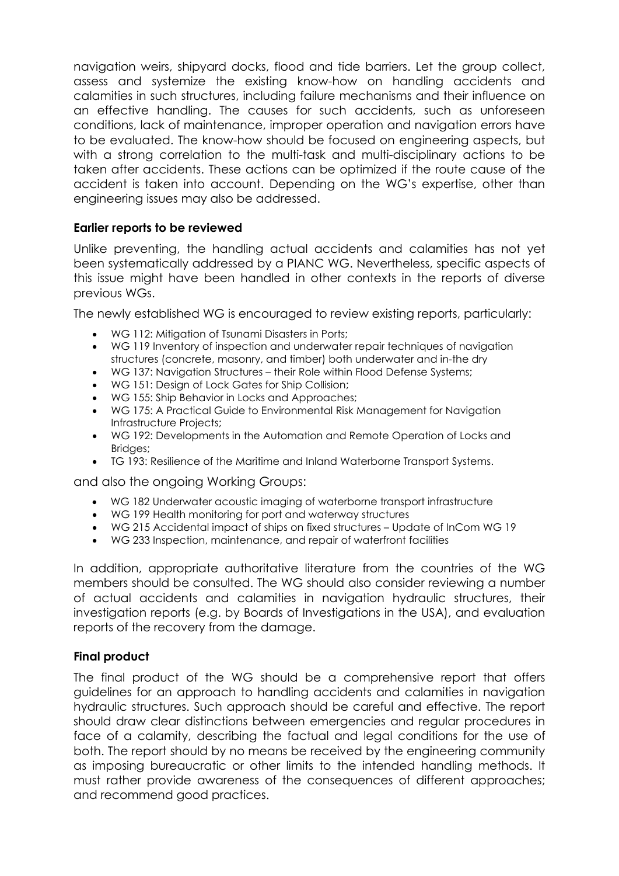navigation weirs, shipyard docks, flood and tide barriers. Let the group collect, assess and systemize the existing know-how on handling accidents and calamities in such structures, including failure mechanisms and their influence on an effective handling. The causes for such accidents, such as unforeseen conditions, lack of maintenance, improper operation and navigation errors have to be evaluated. The know-how should be focused on engineering aspects, but with a strong correlation to the multi-task and multi-disciplinary actions to be taken after accidents. These actions can be optimized if the route cause of the accident is taken into account. Depending on the WG's expertise, other than engineering issues may also be addressed.

### **Earlier reports to be reviewed**

Unlike preventing, the handling actual accidents and calamities has not yet been systematically addressed by a PIANC WG. Nevertheless, specific aspects of this issue might have been handled in other contexts in the reports of diverse previous WGs.

The newly established WG is encouraged to review existing reports, particularly:

- WG 112: Mitigation of Tsunami Disasters in Ports;
- WG 119 Inventory of inspection and underwater repair techniques of navigation structures (concrete, masonry, and timber) both underwater and in-the dry
- WG 137: Navigation Structures their Role within Flood Defense Systems;
- WG 151: Design of Lock Gates for Ship Collision;
- WG 155: Ship Behavior in Locks and Approaches;
- WG 175: A Practical Guide to Environmental Risk Management for Navigation Infrastructure Projects;
- WG 192: Developments in the Automation and Remote Operation of Locks and Bridges;
- TG 193: Resilience of the Maritime and Inland Waterborne Transport Systems.

and also the ongoing Working Groups:

- WG 182 Underwater acoustic imaging of waterborne transport infrastructure
- WG 199 Health monitoring for port and waterway structures
- WG 215 Accidental impact of ships on fixed structures Update of InCom WG 19
- WG 233 Inspection, maintenance, and repair of waterfront facilities

In addition, appropriate authoritative literature from the countries of the WG members should be consulted. The WG should also consider reviewing a number of actual accidents and calamities in navigation hydraulic structures, their investigation reports (e.g. by Boards of Investigations in the USA), and evaluation reports of the recovery from the damage.

### **Final product**

The final product of the WG should be a comprehensive report that offers guidelines for an approach to handling accidents and calamities in navigation hydraulic structures. Such approach should be careful and effective. The report should draw clear distinctions between emergencies and regular procedures in face of a calamity, describing the factual and legal conditions for the use of both. The report should by no means be received by the engineering community as imposing bureaucratic or other limits to the intended handling methods. It must rather provide awareness of the consequences of different approaches; and recommend good practices.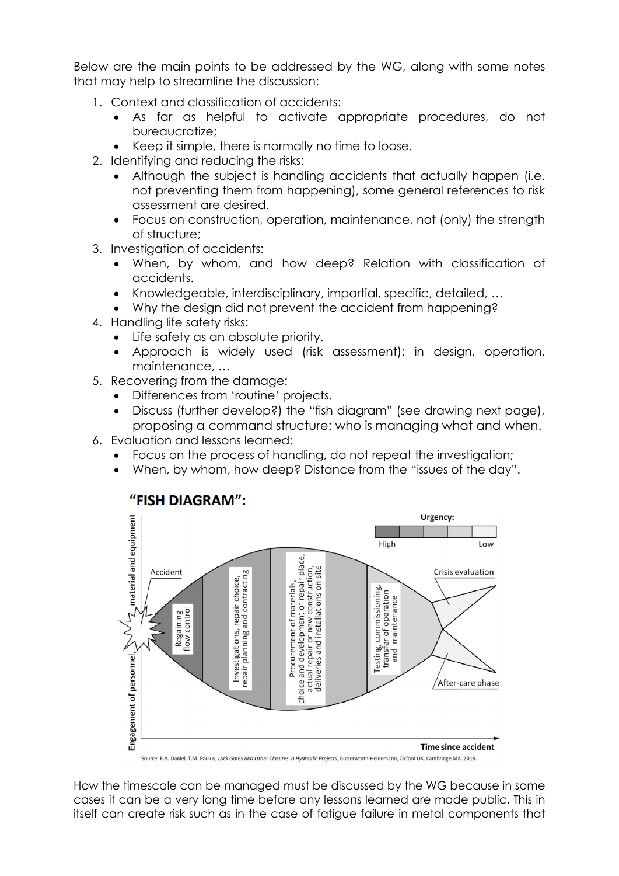Below are the main points to be addressed by the WG, along with some notes that may help to streamline the discussion:

- 1. Context and classification of accidents:
	- As far as helpful to activate appropriate procedures, do not bureaucratize;
	- Keep it simple, there is normally no time to loose.
- 2. Identifying and reducing the risks:
	- Although the subject is handling accidents that actually happen (i.e. not preventing them from happening), some general references to risk assessment are desired.
	- Focus on construction, operation, maintenance, not (only) the strength of structure;
- 3. Investigation of accidents:
	- When, by whom, and how deep? Relation with classification of accidents.
	- Knowledgeable, interdisciplinary, impartial, specific, detailed, …
	- Why the design did not prevent the accident from happening?
- 4. Handling life safety risks:
	- Life safety as an absolute priority.
	- Approach is widely used (risk assessment): in design, operation, maintenance, …
- 5. Recovering from the damage:
	- Differences from 'routine' projects.
	- Discuss (further develop?) the "fish diagram" (see drawing next page), proposing a command structure: who is managing what and when.
- 6. Evaluation and lessons learned:
	- Focus on the process of handling, do not repeat the investigation;
	- When, by whom, how deep? Distance from the "issues of the day".



# "FISH DIAGRAM":

Source: R.A. Daniel, T.M. Paulus, Lock Gates and Other Closures in Hydraulic Projects, Butterworth-Heinemann, Oxford UK, Cambridge MA, 2019.

How the timescale can be managed must be discussed by the WG because in some cases it can be a very long time before any lessons learned are made public. This in itself can create risk such as in the case of fatigue failure in metal components that